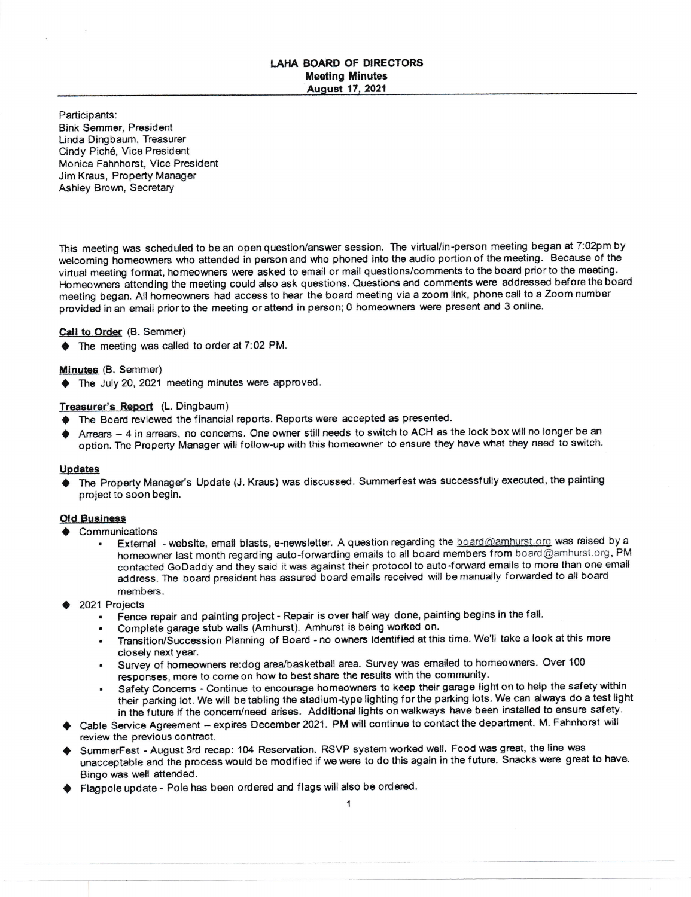## LAHA BOARD OF DIRECTORS Meeting Minutes August 17, 2021

Participants: Bink Semmer, President Linda Dingbaum, Treasurer Cindy Pich6, Vice President Monica Fahnhorst, Vice President Jim Kraus, Property Manager Ashley Brown, Secretary

This meeting was scheduled to be an open question/answer session. The virtual/in-person meeting began at 7:02pm by welcoming homeowners who attended in person and who phoned into the audio portion of the meeting. Because of the virtual meeting format, homeowners were asked to email or mail questions/comments to the board prior to the meeting. Homeowners attending the meeting could also ask questions. Questions and comments were addressed before the board meeting began. All homeowners had access to hear the board meeting via a zoom link, phone call to a Zoom number provided in an email prior to the meeting or attend in person; 0 homeowners were present and 3 online.

## Call to Order (B. Semmer)

 $\blacklozenge$  The meeting was called to order at 7:02 PM.

### Minutes (B. Semmer)

 $\blacklozenge$  The July 20, 2021 meeting minutes were approved.

# Treasurer's Report (L. Dingbaum)

- $\blacklozenge$  The Board reviewed the financial reports. Reports were accepted as presented.
- Arrears 4 in arrears, no concems. One owner still needs to switch to ACH as the lock box will no longer be an option. The Property Manager will follow-up with this homeowner to ensure they have what they need to switch.

#### Updates

The Property Manager's Update (J. Kraus) was discussed. Summerfest was successfully executed, the painting project to soon begin.

### Old Business

- $\triangle$  Communications
	- External website, email blasts, e-newsletter. A question regarding the board@amhurst.org was raised by a homeowner last month regarding auto-forwarding emails to all board members from board@amhurst.org, PM contacted GoDaddy and they said it was against their protocol to auto-foward emails to more than one email address. The board president has assured board emails received will be manually forwarded to all board members.
- 2021 Projects
	- Fence repair and painting project Repair is over half way done, painting begins in the fall.
	- . Complete garage stub walls (Amhurst). Amhurst is being worked on.
	- . Transition/Succession Planning of Board no owners identified at this time. We'll take a look at this more closely next Year.
	- Survey of homeowners re:dog area/basketball area. Survey was emailed to homeowners. Over 100 responses, more to come on how to best share the results with the community.
	- Safety Concems Continue to encourage homeowners to keep their garage light on to help the safety within their parking lot. We will be tabling the stadium-type lighting for the parking lots. We can always do a test light in the future if the concem/need arises. Additional lights on walkways have been installed to ensure safety.
- Cable Service Agreement expires December 2021. PM will continue to contact the department. M. Fahnhorst will review the previous contract.
- SummerFest August 3rd recap: 104 Reservation. RSVP system worked well. Food was great, the line was unacceptable and the process would be modified if we were to do this again in the future. Snacks were great to have. Bingo was well attended.
- Flagpole update Pole has been ordered and flags will also be ordered.